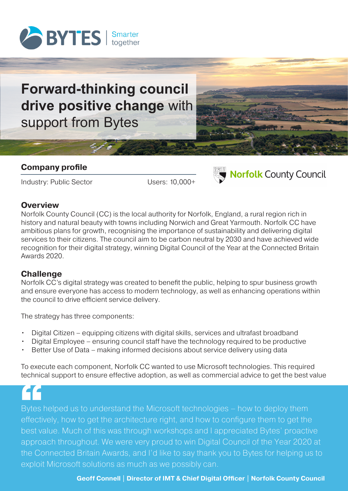

# **Forward-thinking council drive positive change** with support from Bytes

#### **Company profile**

Industry: Public Sector Users: 10,000+



## **Norfolk County Council**

#### **Overview**

Norfolk County Council (CC) is the local authority for Norfolk, England, a rural region rich in history and natural beauty with towns including Norwich and Great Yarmouth. Norfolk CC have ambitious plans for growth, recognising the importance of sustainability and delivering digital services to their citizens. The council aim to be carbon neutral by 2030 and have achieved wide recognition for their digital strategy, winning Digital Council of the Year at the Connected Britain Awards 2020.

#### **Challenge**

Norfolk CC's digital strategy was created to benefit the public, helping to spur business growth and ensure everyone has access to modern technology, as well as enhancing operations within the council to drive efficient service delivery.

The strategy has three components:

- Digital Citizen equipping citizens with digital skills, services and ultrafast broadband
- Digital Employee ensuring council staff have the technology required to be productive
- Better Use of Data making informed decisions about service delivery using data

To execute each component, Norfolk CC wanted to use Microsoft technologies. This required technical support to ensure effective adoption, as well as commercial advice to get the best value

Bytes<br>"Bytes"<br>best va Bytes helped us to understand the Microsoft technologies – how to deploy them effectively, how to get the architecture right, and how to configure them to get the best value. Much of this was through workshops and I appreciated Bytes' proactive approach throughout. We were very proud to win Digital Council of the Year 2020 at the Connected Britain Awards, and I'd like to say thank you to Bytes for helping us to exploit Microsoft solutions as much as we possibly can.

**Geoff Connell | Director of IMT & Chief Digital Officer | Norfolk County Council**